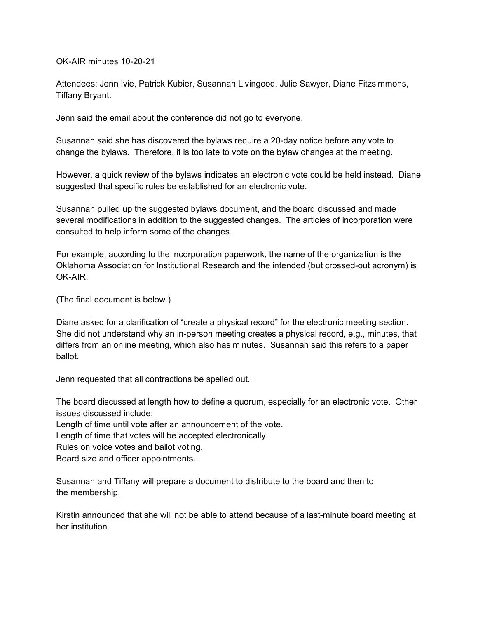OK-AIR minutes 10-20-21

Attendees: Jenn Ivie, Patrick Kubier, Susannah Livingood, Julie Sawyer, Diane Fitzsimmons, Tiffany Bryant.

Jenn said the email about the conference did not go to everyone.

Susannah said she has discovered the bylaws require a 20-day notice before any vote to change the bylaws. Therefore, it is too late to vote on the bylaw changes at the meeting.

However, a quick review of the bylaws indicates an electronic vote could be held instead. Diane suggested that specific rules be established for an electronic vote.

Susannah pulled up the suggested bylaws document, and the board discussed and made several modifications in addition to the suggested changes. The articles of incorporation were consulted to help inform some of the changes.

For example, according to the incorporation paperwork, the name of the organization is the Oklahoma Association for Institutional Research and the intended (but crossed-out acronym) is OK-AIR.

(The final document is below.)

Diane asked for a clarification of "create a physical record" for the electronic meeting section. She did not understand why an in-person meeting creates a physical record, e.g., minutes, that differs from an online meeting, which also has minutes. Susannah said this refers to a paper ballot.

Jenn requested that all contractions be spelled out.

The board discussed at length how to define a quorum, especially for an electronic vote. Other issues discussed include:

Length of time until vote after an announcement of the vote.

Length of time that votes will be accepted electronically.

Rules on voice votes and ballot voting.

Board size and officer appointments.

Susannah and Tiffany will prepare a document to distribute to the board and then to the membership.

Kirstin announced that she will not be able to attend because of a last-minute board meeting at her institution.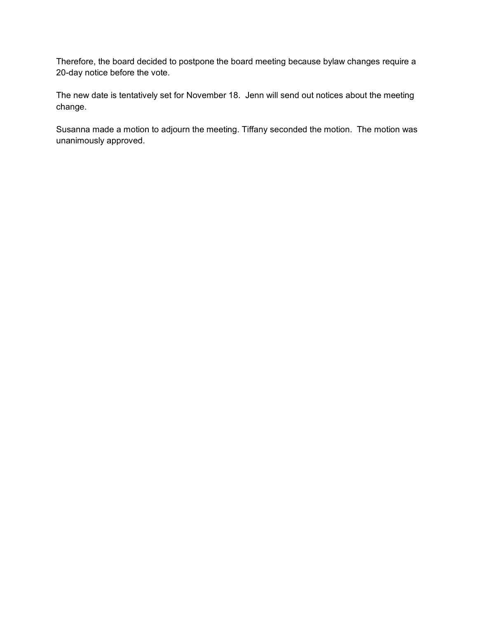Therefore, the board decided to postpone the board meeting because bylaw changes require a 20-day notice before the vote.

The new date is tentatively set for November 18. Jenn will send out notices about the meeting change.

Susanna made a motion to adjourn the meeting. Tiffany seconded the motion. The motion was unanimously approved.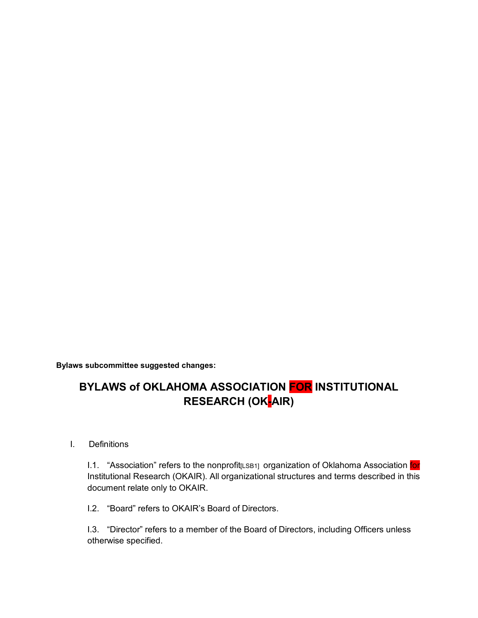**Bylaws subcommittee suggested changes:**

# **BYLAWS of OKLAHOMA ASSOCIATION FOR INSTITUTIONAL RESEARCH (OKAIR)**

I. Definitions

I.1. "Association" refers to the nonprofit<sub>[LSB1]</sub> organization of Oklahoma Association for Institutional Research (OKAIR). All organizational structures and terms described in this document relate only to OKAIR.

I.2. "Board" refers to OKAIR's Board of Directors.

I.3. "Director" refers to a member of the Board of Directors, including Officers unless otherwise specified.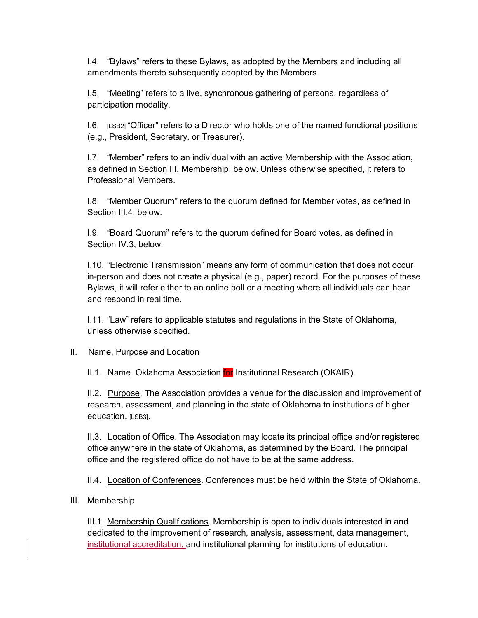I.4. "Bylaws" refers to these Bylaws, as adopted by the Members and including all amendments thereto subsequently adopted by the Members.

I.5. "Meeting" refers to a live, synchronous gathering of persons, regardless of participation modality.

I.6.  $[LSB2]$  "Officer" refers to a Director who holds one of the named functional positions (e.g., President, Secretary, or Treasurer).

I.7. "Member" refers to an individual with an active Membership with the Association, as defined in Section III. Membership, below. Unless otherwise specified, it refers to Professional Members.

I.8. "Member Quorum" refers to the quorum defined for Member votes, as defined in Section III.4, below.

I.9. "Board Quorum" refers to the quorum defined for Board votes, as defined in Section IV.3, below.

I.10. "Electronic Transmission" means any form of communication that does not occur in-person and does not create a physical (e.g., paper) record. For the purposes of these Bylaws, it will refer either to an online poll or a meeting where all individuals can hear and respond in real time.

I.11. "Law" refers to applicable statutes and regulations in the State of Oklahoma, unless otherwise specified.

II. Name, Purpose and Location

II.1. Name. Oklahoma Association for Institutional Research (OKAIR).

II.2. Purpose. The Association provides a venue for the discussion and improvement of research, assessment, and planning in the state of Oklahoma to institutions of higher education. [LSB3].

II.3. Location of Office. The Association may locate its principal office and/or registered office anywhere in the state of Oklahoma, as determined by the Board. The principal office and the registered office do not have to be at the same address.

II.4. Location of Conferences. Conferences must be held within the State of Oklahoma.

## III. Membership

III.1. Membership Qualifications. Membership is open to individuals interested in and dedicated to the improvement of research, analysis, assessment, data management, institutional accreditation, and institutional planning for institutions of education.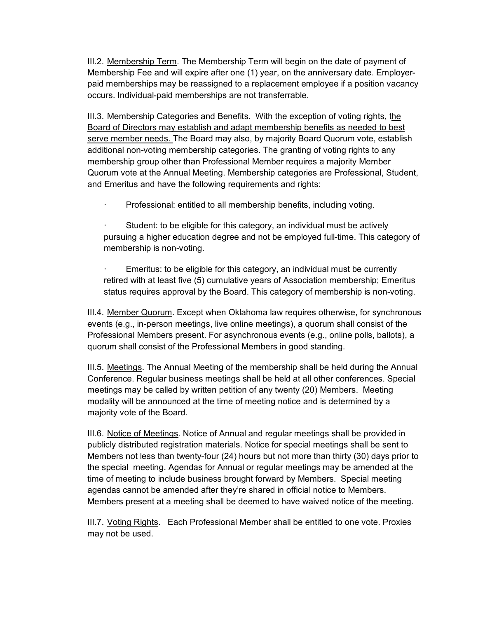III.2. Membership Term. The Membership Term will begin on the date of payment of Membership Fee and will expire after one (1) year, on the anniversary date. Employerpaid memberships may be reassigned to a replacement employee if a position vacancy occurs. Individual-paid memberships are not transferrable.

III.3. Membership Categories and Benefits. With the exception of voting rights, the Board of Directors may establish and adapt membership benefits as needed to best serve member needs. The Board may also, by majority Board Quorum vote, establish additional non-voting membership categories. The granting of voting rights to any membership group other than Professional Member requires a majority Member Quorum vote at the Annual Meeting. Membership categories are Professional, Student, and Emeritus and have the following requirements and rights:

· Professional: entitled to all membership benefits, including voting.

Student: to be eligible for this category, an individual must be actively pursuing a higher education degree and not be employed full-time. This category of membership is non-voting.

Emeritus: to be eligible for this category, an individual must be currently retired with at least five (5) cumulative years of Association membership; Emeritus status requires approval by the Board. This category of membership is non-voting.

III.4. Member Quorum. Except when Oklahoma law requires otherwise, for synchronous events (e.g., in-person meetings, live online meetings), a quorum shall consist of the Professional Members present. For asynchronous events (e.g., online polls, ballots), a quorum shall consist of the Professional Members in good standing.

III.5. Meetings. The Annual Meeting of the membership shall be held during the Annual Conference. Regular business meetings shall be held at all other conferences. Special meetings may be called by written petition of any twenty (20) Members. Meeting modality will be announced at the time of meeting notice and is determined by a majority vote of the Board.

III.6. Notice of Meetings. Notice of Annual and regular meetings shall be provided in publicly distributed registration materials. Notice for special meetings shall be sent to Members not less than twenty-four (24) hours but not more than thirty (30) days prior to the special meeting. Agendas for Annual or regular meetings may be amended at the time of meeting to include business brought forward by Members. Special meeting agendas cannot be amended after they're shared in official notice to Members. Members present at a meeting shall be deemed to have waived notice of the meeting.

III.7. Voting Rights. Each Professional Member shall be entitled to one vote. Proxies may not be used.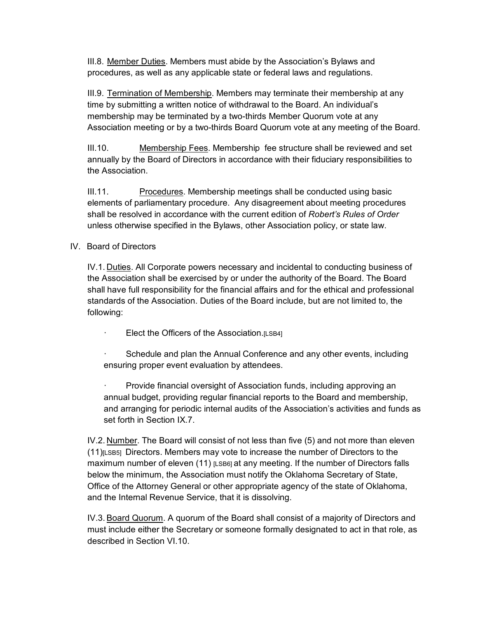III.8. Member Duties. Members must abide by the Association's Bylaws and procedures, as well as any applicable state or federal laws and regulations.

III.9. Termination of Membership. Members may terminate their membership at any time by submitting a written notice of withdrawal to the Board. An individual's membership may be terminated by a two-thirds Member Quorum vote at any Association meeting or by a two-thirds Board Quorum vote at any meeting of the Board.

III.10. Membership Fees. Membership fee structure shall be reviewed and set annually by the Board of Directors in accordance with their fiduciary responsibilities to the Association.

III.11. Procedures. Membership meetings shall be conducted using basic elements of parliamentary procedure. Any disagreement about meeting procedures shall be resolved in accordance with the current edition of *Robert's Rules of Order* unless otherwise specified in the Bylaws, other Association policy, or state law.

# IV. Board of Directors

IV.1. Duties. All Corporate powers necessary and incidental to conducting business of the Association shall be exercised by or under the authority of the Board. The Board shall have full responsibility for the financial affairs and for the ethical and professional standards of the Association. Duties of the Board include, but are not limited to, the following:

Elect the Officers of the Association.[LSB4]

Schedule and plan the Annual Conference and any other events, including ensuring proper event evaluation by attendees.

Provide financial oversight of Association funds, including approving an annual budget, providing regular financial reports to the Board and membership, and arranging for periodic internal audits of the Association's activities and funds as set forth in Section IX.7.

IV.2. Number. The Board will consist of not less than five (5) and not more than eleven (11)[LSB5] Directors. Members may vote to increase the number of Directors to the maximum number of eleven (11) [LSB6] at any meeting. If the number of Directors falls below the minimum, the Association must notify the Oklahoma Secretary of State, Office of the Attorney General or other appropriate agency of the state of Oklahoma, and the Internal Revenue Service, that it is dissolving.

IV.3. Board Quorum. A quorum of the Board shall consist of a majority of Directors and must include either the Secretary or someone formally designated to act in that role, as described in Section VI.10.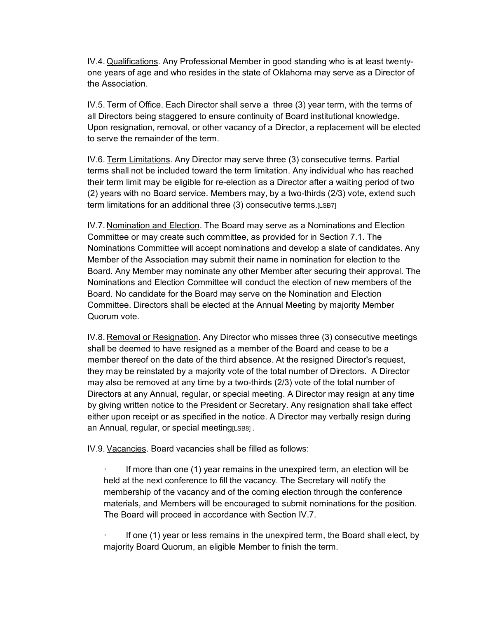IV.4. Qualifications. Any Professional Member in good standing who is at least twentyone years of age and who resides in the state of Oklahoma may serve as a Director of the Association.

IV.5. Term of Office. Each Director shall serve a three (3) year term, with the terms of all Directors being staggered to ensure continuity of Board institutional knowledge. Upon resignation, removal, or other vacancy of a Director, a replacement will be elected to serve the remainder of the term.

IV.6. Term Limitations. Any Director may serve three (3) consecutive terms. Partial terms shall not be included toward the term limitation. Any individual who has reached their term limit may be eligible for re-election as a Director after a waiting period of two (2) years with no Board service. Members may, by a two-thirds (2/3) vote, extend such term limitations for an additional three (3) consecutive terms.[LSB7]

IV.7. Nomination and Election. The Board may serve as a Nominations and Election Committee or may create such committee, as provided for in Section 7.1. The Nominations Committee will accept nominations and develop a slate of candidates. Any Member of the Association may submit their name in nomination for election to the Board. Any Member may nominate any other Member after securing their approval. The Nominations and Election Committee will conduct the election of new members of the Board. No candidate for the Board may serve on the Nomination and Election Committee. Directors shall be elected at the Annual Meeting by majority Member Quorum vote.

IV.8. Removal or Resignation. Any Director who misses three (3) consecutive meetings shall be deemed to have resigned as a member of the Board and cease to be a member thereof on the date of the third absence. At the resigned Director's request, they may be reinstated by a majority vote of the total number of Directors. A Director may also be removed at any time by a two-thirds (2/3) vote of the total number of Directors at any Annual, regular, or special meeting. A Director may resign at any time by giving written notice to the President or Secretary. Any resignation shall take effect either upon receipt or as specified in the notice. A Director may verbally resign during an Annual, regular, or special meeting[LSB8].

IV.9. Vacancies. Board vacancies shall be filled as follows:

· If more than one (1) year remains in the unexpired term, an election will be held at the next conference to fill the vacancy. The Secretary will notify the membership of the vacancy and of the coming election through the conference materials, and Members will be encouraged to submit nominations for the position. The Board will proceed in accordance with Section IV.7.

· If one (1) year or less remains in the unexpired term, the Board shall elect, by majority Board Quorum, an eligible Member to finish the term.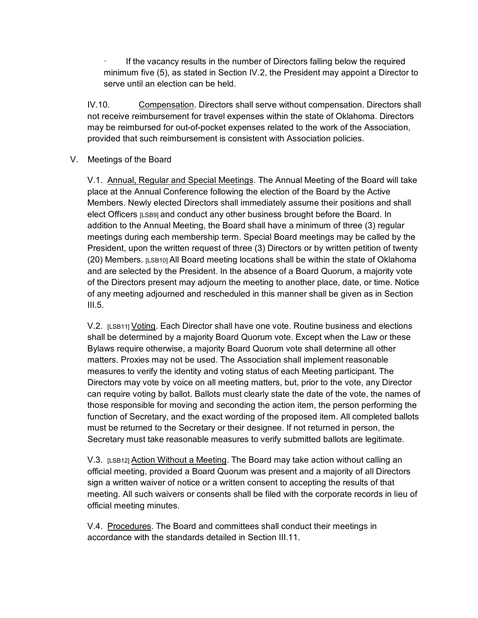If the vacancy results in the number of Directors falling below the required minimum five (5), as stated in Section IV.2, the President may appoint a Director to serve until an election can be held.

IV.10. Compensation. Directors shall serve without compensation. Directors shall not receive reimbursement for travel expenses within the state of Oklahoma. Directors may be reimbursed for out-of-pocket expenses related to the work of the Association, provided that such reimbursement is consistent with Association policies.

# V. Meetings of the Board

V.1. Annual, Regular and Special Meetings. The Annual Meeting of the Board will take place at the Annual Conference following the election of the Board by the Active Members. Newly elected Directors shall immediately assume their positions and shall elect Officers [LSB9] and conduct any other business brought before the Board. In addition to the Annual Meeting, the Board shall have a minimum of three (3) regular meetings during each membership term. Special Board meetings may be called by the President, upon the written request of three (3) Directors or by written petition of twenty  $(20)$  Members.  $[LSB10]$  All Board meeting locations shall be within the state of Oklahoma and are selected by the President. In the absence of a Board Quorum, a majority vote of the Directors present may adjourn the meeting to another place, date, or time. Notice of any meeting adjourned and rescheduled in this manner shall be given as in Section  $III.5.$ 

V.2. [LSB11] Voting. Each Director shall have one vote. Routine business and elections shall be determined by a majority Board Quorum vote. Except when the Law or these Bylaws require otherwise, a majority Board Quorum vote shall determine all other matters. Proxies may not be used. The Association shall implement reasonable measures to verify the identity and voting status of each Meeting participant. The Directors may vote by voice on all meeting matters, but, prior to the vote, any Director can require voting by ballot. Ballots must clearly state the date of the vote, the names of those responsible for moving and seconding the action item, the person performing the function of Secretary, and the exact wording of the proposed item. All completed ballots must be returned to the Secretary or their designee. If not returned in person, the Secretary must take reasonable measures to verify submitted ballots are legitimate.

V.3. [LSB12] Action Without a Meeting. The Board may take action without calling an official meeting, provided a Board Quorum was present and a majority of all Directors sign a written waiver of notice or a written consent to accepting the results of that meeting. All such waivers or consents shall be filed with the corporate records in lieu of official meeting minutes.

V.4. Procedures. The Board and committees shall conduct their meetings in accordance with the standards detailed in Section III.11.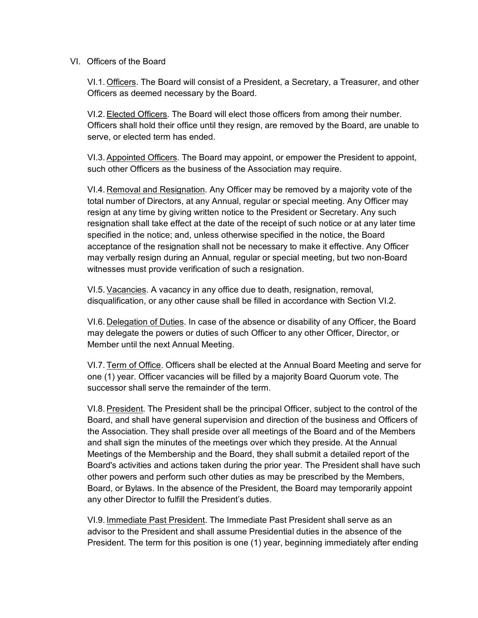#### VI. Officers of the Board

VI.1. Officers. The Board will consist of a President, a Secretary, a Treasurer, and other Officers as deemed necessary by the Board.

VI.2. Elected Officers. The Board will elect those officers from among their number. Officers shall hold their office until they resign, are removed by the Board, are unable to serve, or elected term has ended.

VI.3. Appointed Officers. The Board may appoint, or empower the President to appoint, such other Officers as the business of the Association may require.

VI.4. Removal and Resignation. Any Officer may be removed by a majority vote of the total number of Directors, at any Annual, regular or special meeting. Any Officer may resign at any time by giving written notice to the President or Secretary. Any such resignation shall take effect at the date of the receipt of such notice or at any later time specified in the notice; and, unless otherwise specified in the notice, the Board acceptance of the resignation shall not be necessary to make it effective. Any Officer may verbally resign during an Annual, regular or special meeting, but two non-Board witnesses must provide verification of such a resignation.

VI.5. Vacancies. A vacancy in any office due to death, resignation, removal, disqualification, or any other cause shall be filled in accordance with Section VI.2.

VI.6. Delegation of Duties. In case of the absence or disability of any Officer, the Board may delegate the powers or duties of such Officer to any other Officer, Director, or Member until the next Annual Meeting.

VI.7. Term of Office. Officers shall be elected at the Annual Board Meeting and serve for one (1) year. Officer vacancies will be filled by a majority Board Quorum vote. The successor shall serve the remainder of the term.

VI.8. President. The President shall be the principal Officer, subject to the control of the Board, and shall have general supervision and direction of the business and Officers of the Association. They shall preside over all meetings of the Board and of the Members and shall sign the minutes of the meetings over which they preside. At the Annual Meetings of the Membership and the Board, they shall submit a detailed report of the Board's activities and actions taken during the prior year. The President shall have such other powers and perform such other duties as may be prescribed by the Members, Board, or Bylaws. In the absence of the President, the Board may temporarily appoint any other Director to fulfill the President's duties.

VI.9. Immediate Past President. The Immediate Past President shall serve as an advisor to the President and shall assume Presidential duties in the absence of the President. The term for this position is one (1) year, beginning immediately after ending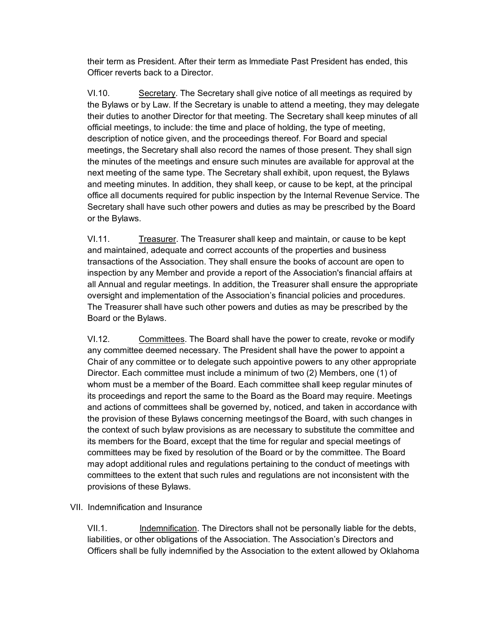their term as President. After their term as lmmediate Past President has ended, this Officer reverts back to a Director.

VI.10. Secretary. The Secretary shall give notice of all meetings as required by the Bylaws or by Law. If the Secretary is unable to attend a meeting, they may delegate their duties to another Director for that meeting. The Secretary shall keep minutes of all official meetings, to include: the time and place of holding, the type of meeting, description of notice given, and the proceedings thereof. For Board and special meetings, the Secretary shall also record the names of those present. They shall sign the minutes of the meetings and ensure such minutes are available for approval at the next meeting of the same type. The Secretary shall exhibit, upon request, the Bylaws and meeting minutes. In addition, they shall keep, or cause to be kept, at the principal office all documents required for public inspection by the Internal Revenue Service. The Secretary shall have such other powers and duties as may be prescribed by the Board or the Bylaws.

VI.11. Treasurer. The Treasurer shall keep and maintain, or cause to be kept and maintained, adequate and correct accounts of the properties and business transactions of the Association. They shall ensure the books of account are open to inspection by any Member and provide a report of the Association's financial affairs at all Annual and regular meetings. In addition, the Treasurer shall ensure the appropriate oversight and implementation of the Association's financial policies and procedures. The Treasurer shall have such other powers and duties as may be prescribed by the Board or the Bylaws.

VI.12. Committees. The Board shall have the power to create, revoke or modify any committee deemed necessary. The President shall have the power to appoint a Chair of any committee or to delegate such appointive powers to any other appropriate Director. Each committee must include a minimum of two (2) Members, one (1) of whom must be a member of the Board. Each committee shall keep regular minutes of its proceedings and report the same to the Board as the Board may require. Meetings and actions of committees shall be governed by, noticed, and taken in accordance with the provision of these Bylaws concerning meetingsof the Board, with such changes in the context of such bylaw provisions as are necessary to substitute the committee and its members for the Board, except that the time for regular and special meetings of committees may be fixed by resolution of the Board or by the committee. The Board may adopt additional rules and regulations pertaining to the conduct of meetings with committees to the extent that such rules and regulations are not inconsistent with the provisions of these Bylaws.

## VII. Indemnification and Insurance

VII.1. Indemnification. The Directors shall not be personally liable for the debts, liabilities, or other obligations of the Association. The Association's Directors and Officers shall be fully indemnified by the Association to the extent allowed by Oklahoma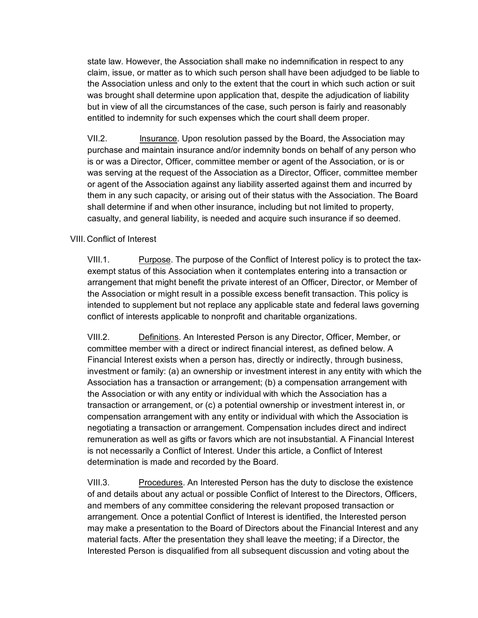state law. However, the Association shall make no indemnification in respect to any claim, issue, or matter as to which such person shall have been adjudged to be liable to the Association unless and only to the extent that the court in which such action or suit was brought shall determine upon application that, despite the adjudication of liability but in view of all the circumstances of the case, such person is fairly and reasonably entitled to indemnity for such expenses which the court shall deem proper.

VII.2. Insurance. Upon resolution passed by the Board, the Association may purchase and maintain insurance and/or indemnity bonds on behalf of any person who is or was a Director, Officer, committee member or agent of the Association, or is or was serving at the request of the Association as a Director, Officer, committee member or agent of the Association against any liability asserted against them and incurred by them in any such capacity, or arising out of their status with the Association. The Board shall determine if and when other insurance, including but not limited to property, casualty, and general liability, is needed and acquire such insurance if so deemed.

# VIII. Conflict of Interest

VIII.1. Purpose. The purpose of the Conflict of Interest policy is to protect the taxexempt status of this Association when it contemplates entering into a transaction or arrangement that might benefit the private interest of an Officer, Director, or Member of the Association or might result in a possible excess benefit transaction. This policy is intended to supplement but not replace any applicable state and federal laws governing conflict of interests applicable to nonprofit and charitable organizations.

VIII.2. Definitions. An Interested Person is any Director, Officer, Member, or committee member with a direct or indirect financial interest, as defined below. A Financial Interest exists when a person has, directly or indirectly, through business, investment or family: (a) an ownership or investment interest in any entity with which the Association has a transaction or arrangement; (b) a compensation arrangement with the Association or with any entity or individual with which the Association has a transaction or arrangement, or (c) a potential ownership or investment interest in, or compensation arrangement with any entity or individual with which the Association is negotiating a transaction or arrangement. Compensation includes direct and indirect remuneration as well as gifts or favors which are not insubstantial. A Financial Interest is not necessarily a Conflict of Interest. Under this article, a Conflict of Interest determination is made and recorded by the Board.

VIII.3. Procedures. An Interested Person has the duty to disclose the existence of and details about any actual or possible Conflict of Interest to the Directors, Officers, and members of any committee considering the relevant proposed transaction or arrangement. Once a potential Conflict of Interest is identified, the Interested person may make a presentation to the Board of Directors about the Financial Interest and any material facts. After the presentation they shall leave the meeting; if a Director, the Interested Person is disqualified from all subsequent discussion and voting about the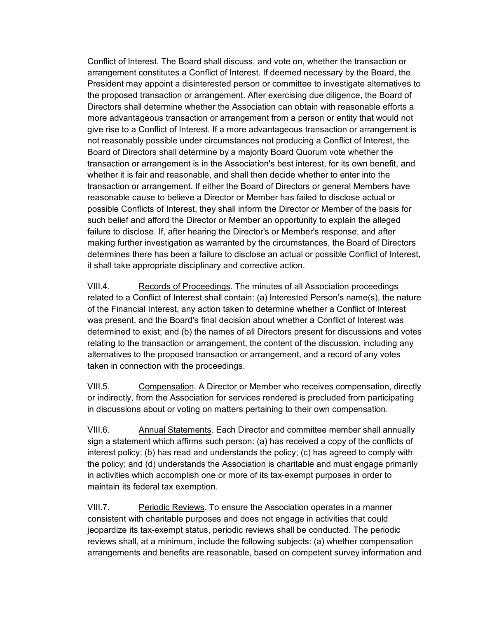Conflict of Interest. The Board shall discuss, and vote on, whether the transaction or arrangement constitutes a Conflict of Interest. If deemed necessary by the Board, the President may appoint a disinterested person or committee to investigate alternatives to the proposed transaction or arrangement. After exercising due diligence, the Board of Directors shall determine whether the Association can obtain with reasonable efforts a more advantageous transaction or arrangement from a person or entity that would not give rise to a Conflict of Interest. If a more advantageous transaction or arrangement is not reasonably possible under circumstances not producing a Conflict of Interest, the Board of Directors shall determine by a majority Board Quorum vote whether the transaction or arrangement is in the Association's best interest, for its own benefit, and whether it is fair and reasonable, and shall then decide whether to enter into the transaction or arrangement. If either the Board of Directors or general Members have reasonable cause to believe a Director or Member has failed to disclose actual or possible Conflicts of Interest, they shall inform the Director or Member of the basis for such belief and afford the Director or Member an opportunity to explain the alleged failure to disclose. If, after hearing the Director's or Member's response, and after making further investigation as warranted by the circumstances, the Board of Directors determines there has been a failure to disclose an actual or possible Conflict of Interest, it shall take appropriate disciplinary and corrective action.

VIII.4. Records of Proceedings. The minutes of all Association proceedings related to a Conflict of Interest shall contain: (a) Interested Person's name(s), the nature of the Financial Interest, any action taken to determine whether a Conflict of Interest was present, and the Board's final decision about whether a Conflict of Interest was determined to exist; and (b) the names of all Directors present for discussions and votes relating to the transaction or arrangement, the content of the discussion, including any alternatives to the proposed transaction or arrangement, and a record of any votes taken in connection with the proceedings.

VIII.5. Compensation. A Director or Member who receives compensation, directly or indirectly, from the Association for services rendered is precluded from participating in discussions about or voting on matters pertaining to their own compensation.

VIII.6. Annual Statements. Each Director and committee member shall annually sign a statement which affirms such person: (a) has received a copy of the conflicts of interest policy; (b) has read and understands the policy; (c) has agreed to comply with the policy; and (d) understands the Association is charitable and must engage primarily in activities which accomplish one or more of its tax-exempt purposes in order to maintain its federal tax exemption.

VIII.7. Periodic Reviews. To ensure the Association operates in a manner consistent with charitable purposes and does not engage in activities that could jeopardize its tax-exempt status, periodic reviews shall be conducted. The periodic reviews shall, at a minimum, include the following subjects: (a) whether compensation arrangements and benefits are reasonable, based on competent survey information and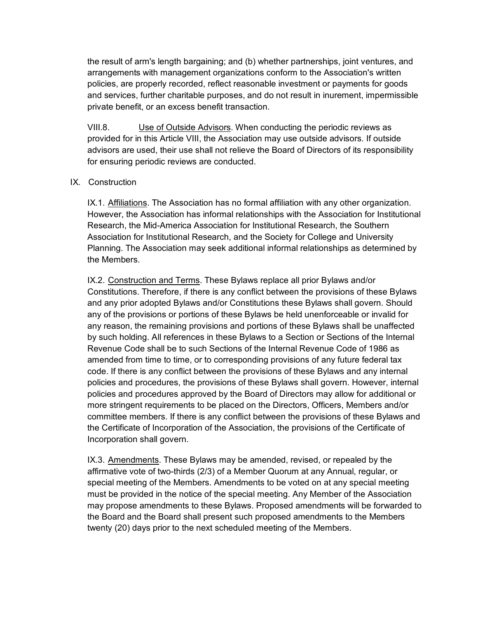the result of arm's length bargaining; and (b) whether partnerships, joint ventures, and arrangements with management organizations conform to the Association's written policies, are properly recorded, reflect reasonable investment or payments for goods and services, further charitable purposes, and do not result in inurement, impermissible private benefit, or an excess benefit transaction.

VIII.8. Use of Outside Advisors. When conducting the periodic reviews as provided for in this Article VIII, the Association may use outside advisors. If outside advisors are used, their use shall not relieve the Board of Directors of its responsibility for ensuring periodic reviews are conducted.

# IX. Construction

IX.1. Affiliations. The Association has no formal affiliation with any other organization. However, the Association has informal relationships with the Association for Institutional Research, the Mid-America Association for Institutional Research, the Southern Association for Institutional Research, and the Society for College and University Planning. The Association may seek additional informal relationships as determined by the Members.

IX.2. Construction and Terms. These Bylaws replace all prior Bylaws and/or Constitutions. Therefore, if there is any conflict between the provisions of these Bylaws and any prior adopted Bylaws and/or Constitutions these Bylaws shall govern. Should any of the provisions or portions of these Bylaws be held unenforceable or invalid for any reason, the remaining provisions and portions of these Bylaws shall be unaffected by such holding. All references in these Bylaws to a Section or Sections of the Internal Revenue Code shall be to such Sections of the Internal Revenue Code of 1986 as amended from time to time, or to corresponding provisions of any future federal tax code. If there is any conflict between the provisions of these Bylaws and any internal policies and procedures, the provisions of these Bylaws shall govern. However, internal policies and procedures approved by the Board of Directors may allow for additional or more stringent requirements to be placed on the Directors, Officers, Members and/or committee members. If there is any conflict between the provisions of these Bylaws and the Certificate of Incorporation of the Association, the provisions of the Certificate of Incorporation shall govern.

IX.3. Amendments. These Bylaws may be amended, revised, or repealed by the affirmative vote of two-thirds (2/3) of a Member Quorum at any Annual, regular, or special meeting of the Members. Amendments to be voted on at any special meeting must be provided in the notice of the special meeting. Any Member of the Association may propose amendments to these Bylaws. Proposed amendments will be forwarded to the Board and the Board shall present such proposed amendments to the Members twenty (20) days prior to the next scheduled meeting of the Members.